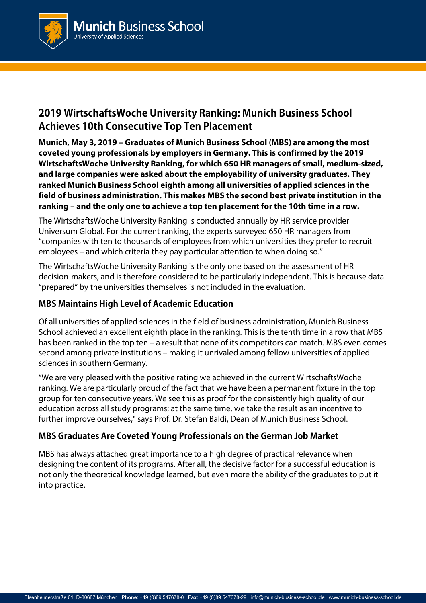

# **2019 WirtschaftsWoche University Ranking: Munich Business School Achieves 10th Consecutive Top Ten Placement**

**Munich, May 3, 2019 – Graduates of Munich Business School (MBS) are among the most coveted young professionals by employers in Germany. This is confirmed by the 2019 WirtschaftsWoche University Ranking, for which 650 HR managers of small, medium-sized, and large companies were asked about the employability of university graduates. They ranked Munich Business School eighth among all universities of applied sciences in the field of business administration. This makes MBS the second best private institution in the ranking – and the only one to achieve a top ten placement for the 10th time in a row.**

The WirtschaftsWoche University Ranking is conducted annually by HR service provider Universum Global. For the current ranking, the experts surveyed 650 HR managers from "companies with ten to thousands of employees from which universities they prefer to recruit employees – and which criteria they pay particular attention to when doing so."

The WirtschaftsWoche University Ranking is the only one based on the assessment of HR decision-makers, and is therefore considered to be particularly independent. This is because data "prepared" by the universities themselves is not included in the evaluation.

## **MBS Maintains High Level of Academic Education**

Of all universities of applied sciences in the field of business administration, Munich Business School achieved an excellent eighth place in the ranking. This is the tenth time in a row that MBS has been ranked in the top ten – a result that none of its competitors can match. MBS even comes second among private institutions – making it unrivaled among fellow universities of applied sciences in southern Germany.

"We are very pleased with the positive rating we achieved in the current WirtschaftsWoche ranking. We are particularly proud of the fact that we have been a permanent fixture in the top group for ten consecutive years. We see this as proof for the consistently high quality of our education across all study programs; at the same time, we take the result as an incentive to further improve ourselves," says Prof. Dr. Stefan Baldi, Dean of Munich Business School.

### **MBS Graduates Are Coveted Young Professionals on the German Job Market**

MBS has always attached great importance to a high degree of practical relevance when designing the content of its programs. After all, the decisive factor for a successful education is not only the theoretical knowledge learned, but even more the ability of the graduates to put it into practice.